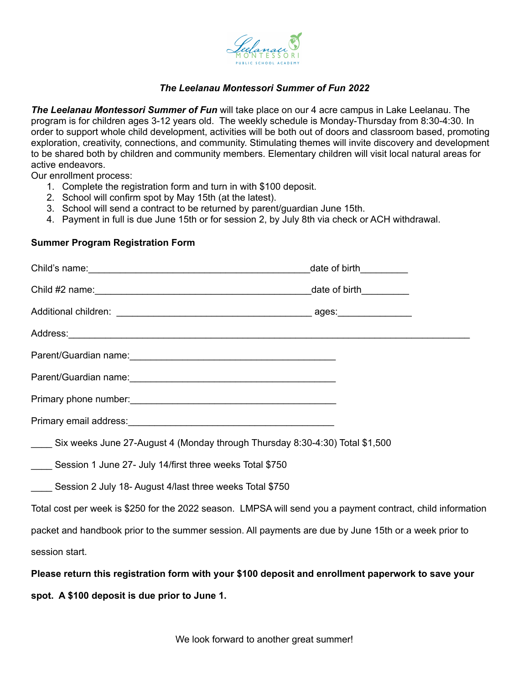

## *The Leelanau Montessori Summer of Fun 2022*

*The Leelanau Montessori Summer of Fun* will take place on our 4 acre campus in Lake Leelanau. The program is for children ages 3-12 years old. The weekly schedule is Monday-Thursday from 8:30-4:30. In order to support whole child development, activities will be both out of doors and classroom based, promoting exploration, creativity, connections, and community. Stimulating themes will invite discovery and development to be shared both by children and community members. Elementary children will visit local natural areas for active endeavors.

Our enrollment process:

- 1. Complete the registration form and turn in with \$100 deposit.
- 2. School will confirm spot by May 15th (at the latest).
- 3. School will send a contract to be returned by parent/guardian June 15th.
- 4. Payment in full is due June 15th or for session 2, by July 8th via check or ACH withdrawal.

## **Summer Program Registration Form**

| Parent/Guardian name: 1997 - 1997 - 1998 - 1998 - 1999 - 1999 - 1999 - 1999 - 1999 - 1999 - 1999 - 1999 - 199 |  |
|---------------------------------------------------------------------------------------------------------------|--|
|                                                                                                               |  |
|                                                                                                               |  |
|                                                                                                               |  |
| Six weeks June 27-August 4 (Monday through Thursday 8:30-4:30) Total \$1,500                                  |  |
| Session 1 June 27- July 14/first three weeks Total \$750                                                      |  |
| Session 2 July 18- August 4/last three weeks Total \$750                                                      |  |
| Total cost per week is \$250 for the 2022 season. LMPSA will send you a payment contract, child information   |  |
| packet and handbook prior to the summer session. All payments are due by June 15th or a week prior to         |  |
| session start.                                                                                                |  |
| Please return this registration form with your \$100 deposit and enrollment paperwork to save your            |  |

**spot. A \$100 deposit is due prior to June 1.**